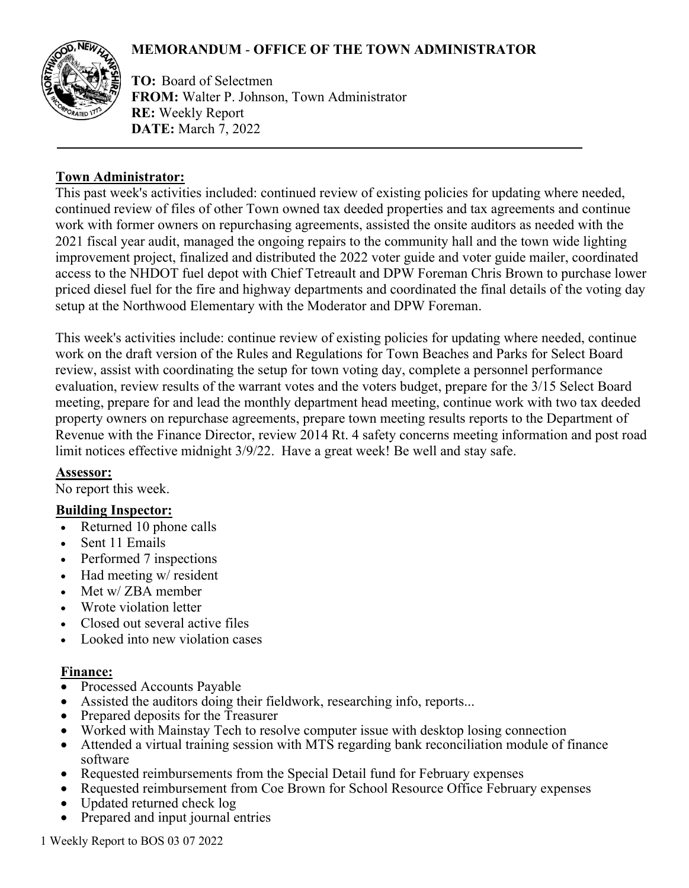# **MEMORANDUM** - **OFFICE OF THE TOWN ADMINISTRATOR**



**TO:** Board of Selectmen **FROM:** Walter P. Johnson, Town Administrator **RE:** Weekly Report **DATE:** March 7, 2022

### **Town Administrator:**

This past week's activities included: continued review of existing policies for updating where needed, continued review of files of other Town owned tax deeded properties and tax agreements and continue work with former owners on repurchasing agreements, assisted the onsite auditors as needed with the 2021 fiscal year audit, managed the ongoing repairs to the community hall and the town wide lighting improvement project, finalized and distributed the 2022 voter guide and voter guide mailer, coordinated access to the NHDOT fuel depot with Chief Tetreault and DPW Foreman Chris Brown to purchase lower priced diesel fuel for the fire and highway departments and coordinated the final details of the voting day setup at the Northwood Elementary with the Moderator and DPW Foreman.

This week's activities include: continue review of existing policies for updating where needed, continue work on the draft version of the Rules and Regulations for Town Beaches and Parks for Select Board review, assist with coordinating the setup for town voting day, complete a personnel performance evaluation, review results of the warrant votes and the voters budget, prepare for the 3/15 Select Board meeting, prepare for and lead the monthly department head meeting, continue work with two tax deeded property owners on repurchase agreements, prepare town meeting results reports to the Department of Revenue with the Finance Director, review 2014 Rt. 4 safety concerns meeting information and post road limit notices effective midnight 3/9/22. Have a great week! Be well and stay safe.

#### **Assessor:**

No report this week.

## **Building Inspector:**

- Returned 10 phone calls
- Sent 11 Emails
- Performed 7 inspections
- Had meeting w/ resident
- Met w/ ZBA member
- Wrote violation letter
- Closed out several active files
- Looked into new violation cases

#### **Finance:**

- Processed Accounts Payable
- Assisted the auditors doing their fieldwork, researching info, reports...
- Prepared deposits for the Treasurer
- Worked with Mainstay Tech to resolve computer issue with desktop losing connection
- Attended a virtual training session with MTS regarding bank reconciliation module of finance software
- Requested reimbursements from the Special Detail fund for February expenses
- Requested reimbursement from Coe Brown for School Resource Office February expenses
- Updated returned check log
- Prepared and input journal entries

1 Weekly Report to BOS 03 07 2022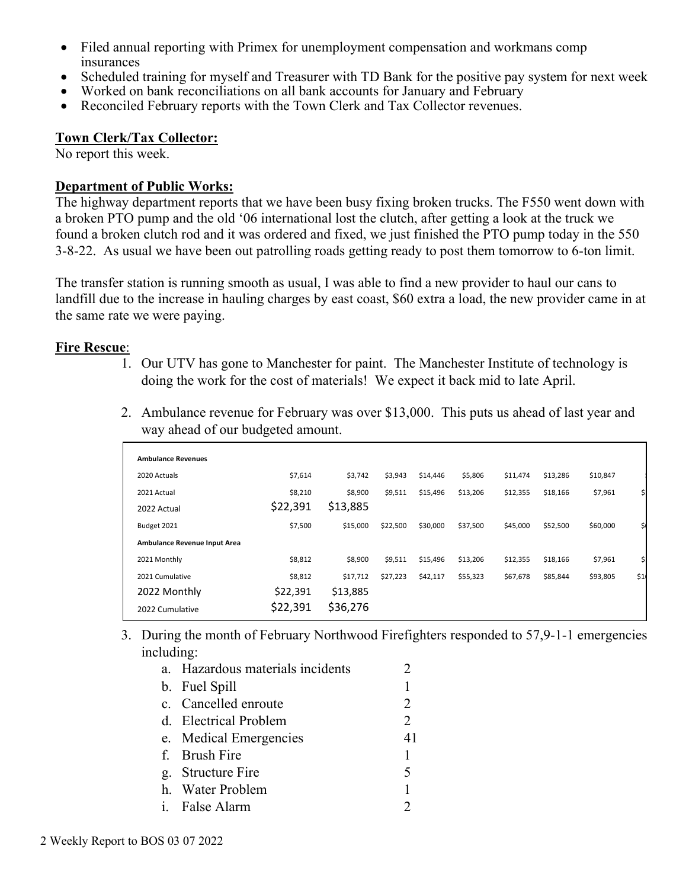- Filed annual reporting with Primex for unemployment compensation and workmans comp insurances
- Scheduled training for myself and Treasurer with TD Bank for the positive pay system for next week
- Worked on bank reconciliations on all bank accounts for January and February
- Reconciled February reports with the Town Clerk and Tax Collector revenues.

#### **Town Clerk/Tax Collector:**

No report this week.

#### **Department of Public Works:**

The highway department reports that we have been busy fixing broken trucks. The F550 went down with a broken PTO pump and the old '06 international lost the clutch, after getting a look at the truck we found a broken clutch rod and it was ordered and fixed, we just finished the PTO pump today in the 550 3-8-22. As usual we have been out patrolling roads getting ready to post them tomorrow to 6-ton limit.

The transfer station is running smooth as usual, I was able to find a new provider to haul our cans to landfill due to the increase in hauling charges by east coast, \$60 extra a load, the new provider came in at the same rate we were paying.

#### **Fire Rescue**:

1. Our UTV has gone to Manchester for paint. The Manchester Institute of technology is doing the work for the cost of materials! We expect it back mid to late April.

| 2. Ambulance revenue for February was over \$13,000. This puts us ahead of last year and |  |
|------------------------------------------------------------------------------------------|--|
| way ahead of our budgeted amount.                                                        |  |

| <b>Ambulance Revenues</b>    |          |          |          |          |          |          |          |          |     |
|------------------------------|----------|----------|----------|----------|----------|----------|----------|----------|-----|
| 2020 Actuals                 | \$7,614  | \$3,742  | \$3,943  | \$14,446 | \$5,806  | \$11,474 | \$13,286 | \$10,847 |     |
| 2021 Actual                  | \$8,210  | \$8,900  | \$9,511  | \$15,496 | \$13,206 | \$12,355 | \$18,166 | \$7,961  |     |
| 2022 Actual                  | \$22,391 | \$13,885 |          |          |          |          |          |          |     |
| Budget 2021                  | \$7,500  | \$15,000 | \$22,500 | \$30,000 | \$37,500 | \$45,000 | \$52,500 | \$60,000 | \$  |
| Ambulance Revenue Input Area |          |          |          |          |          |          |          |          |     |
| 2021 Monthly                 | \$8,812  | \$8,900  | \$9,511  | \$15,496 | \$13,206 | \$12,355 | \$18,166 | \$7,961  | \$  |
| 2021 Cumulative              | \$8,812  | \$17,712 | \$27,223 | \$42,117 | \$55,323 | \$67,678 | \$85,844 | \$93,805 | \$1 |
| 2022 Monthly                 | \$22,391 | \$13,885 |          |          |          |          |          |          |     |
| 2022 Cumulative              | \$22,391 | \$36,276 |          |          |          |          |          |          |     |

3. During the month of February Northwood Firefighters responded to 57,9-1-1 emergencies including:

| a. Hazardous materials incidents |    |
|----------------------------------|----|
| b. Fuel Spill                    | 1  |
| c. Cancelled enroute             | 2  |
| d. Electrical Problem            | 2  |
| e. Medical Emergencies           | 41 |
| f. Brush Fire                    | 1  |
| g. Structure Fire                | 5  |
| h. Water Problem                 | 1  |
| i. False Alarm                   |    |
|                                  |    |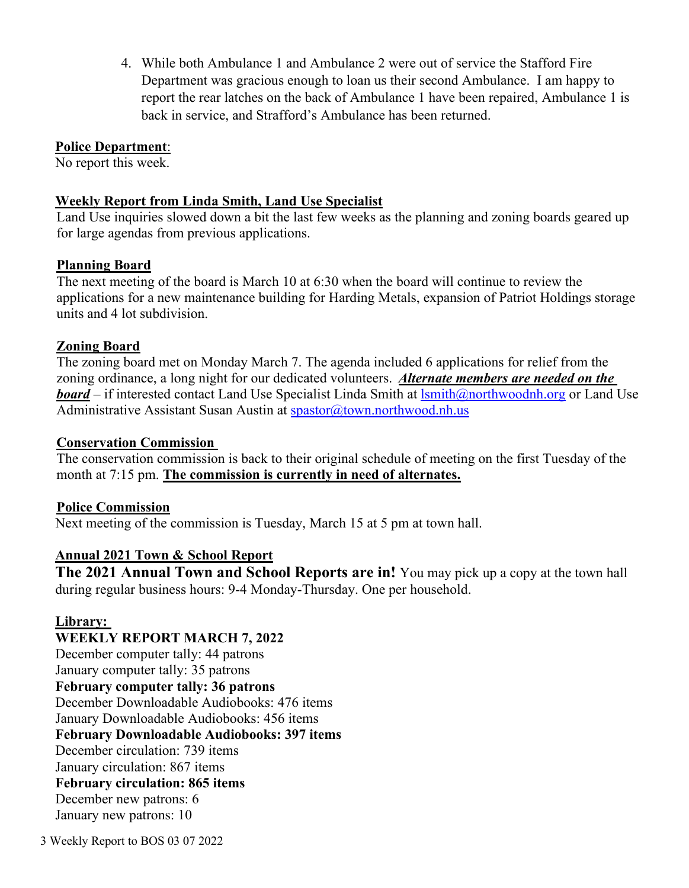4. While both Ambulance 1 and Ambulance 2 were out of service the Stafford Fire Department was gracious enough to loan us their second Ambulance. I am happy to report the rear latches on the back of Ambulance 1 have been repaired, Ambulance 1 is back in service, and Strafford's Ambulance has been returned.

### **Police Department**:

No report this week.

### **Weekly Report from Linda Smith, Land Use Specialist**

Land Use inquiries slowed down a bit the last few weeks as the planning and zoning boards geared up for large agendas from previous applications.

### **Planning Board**

The next meeting of the board is March 10 at 6:30 when the board will continue to review the applications for a new maintenance building for Harding Metals, expansion of Patriot Holdings storage units and 4 lot subdivision.

### **Zoning Board**

The zoning board met on Monday March 7. The agenda included 6 applications for relief from the zoning ordinance, a long night for our dedicated volunteers. *Alternate members are needed on the board* – if interested contact Land Use Specialist Linda Smith at  $l$ smith@northwoodnh.org or Land Use Administrative Assistant Susan Austin at [spastor@town.northwood.nh.us](mailto:spastor@town.northwood.nh.us)

#### **Conservation Commission**

The conservation commission is back to their original schedule of meeting on the first Tuesday of the month at 7:15 pm. **The commission is currently in need of alternates.**

## **Police Commission**

Next meeting of the commission is Tuesday, March 15 at 5 pm at town hall.

## **Annual 2021 Town & School Report**

**The 2021 Annual Town and School Reports are in!** You may pick up a copy at the town hall during regular business hours: 9-4 Monday-Thursday. One per household.

## **Library:**

**WEEKLY REPORT MARCH 7, 2022** December computer tally: 44 patrons January computer tally: 35 patrons **February computer tally: 36 patrons** December Downloadable Audiobooks: 476 items January Downloadable Audiobooks: 456 items **February Downloadable Audiobooks: 397 items** December circulation: 739 items January circulation: 867 items **February circulation: 865 items** December new patrons: 6 January new patrons: 10

3 Weekly Report to BOS 03 07 2022